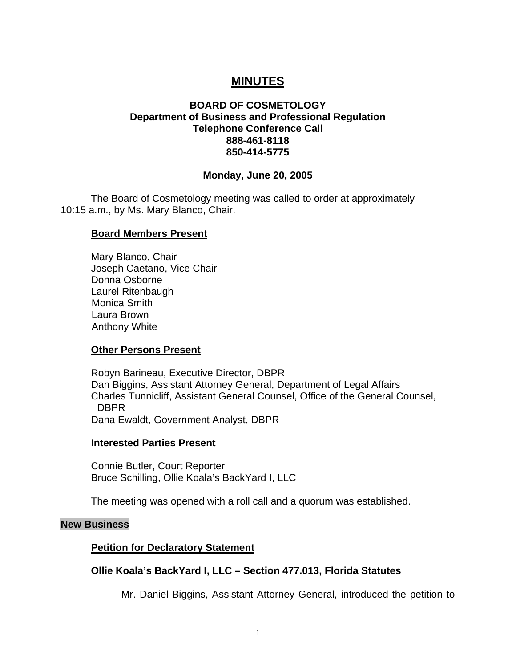# **MINUTES**

# **BOARD OF COSMETOLOGY Department of Business and Professional Regulation Telephone Conference Call 888-461-8118 850-414-5775**

#### **Monday, June 20, 2005**

The Board of Cosmetology meeting was called to order at approximately 10:15 a.m., by Ms. Mary Blanco, Chair.

#### **Board Members Present**

Mary Blanco, Chair Joseph Caetano, Vice Chair Donna Osborne Laurel Ritenbaugh Monica Smith Laura Brown Anthony White

#### **Other Persons Present**

Robyn Barineau, Executive Director, DBPR Dan Biggins, Assistant Attorney General, Department of Legal Affairs Charles Tunnicliff, Assistant General Counsel, Office of the General Counsel, DBPR Dana Ewaldt, Government Analyst, DBPR

#### **Interested Parties Present**

Connie Butler, Court Reporter Bruce Schilling, Ollie Koala's BackYard I, LLC

The meeting was opened with a roll call and a quorum was established.

#### **New Business**

#### **Petition for Declaratory Statement**

#### **Ollie Koala's BackYard I, LLC – Section 477.013, Florida Statutes**

Mr. Daniel Biggins, Assistant Attorney General, introduced the petition to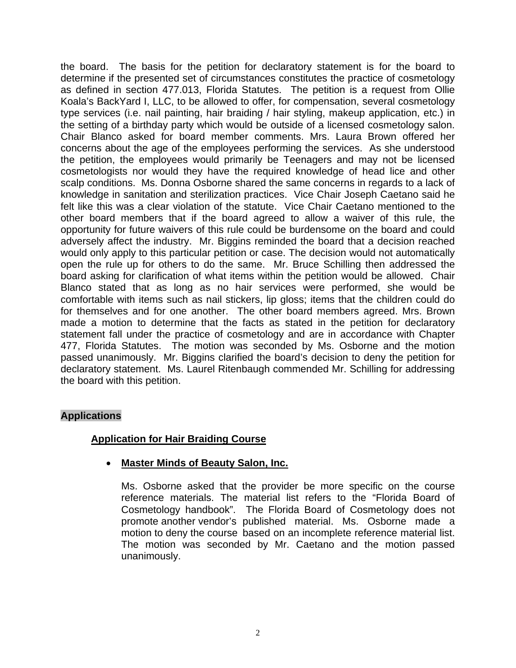the board. The basis for the petition for declaratory statement is for the board to determine if the presented set of circumstances constitutes the practice of cosmetology as defined in section 477.013, Florida Statutes. The petition is a request from Ollie Koala's BackYard I, LLC, to be allowed to offer, for compensation, several cosmetology type services (i.e. nail painting, hair braiding / hair styling, makeup application, etc.) in the setting of a birthday party which would be outside of a licensed cosmetology salon. Chair Blanco asked for board member comments. Mrs. Laura Brown offered her concerns about the age of the employees performing the services. As she understood the petition, the employees would primarily be Teenagers and may not be licensed cosmetologists nor would they have the required knowledge of head lice and other scalp conditions. Ms. Donna Osborne shared the same concerns in regards to a lack of knowledge in sanitation and sterilization practices. Vice Chair Joseph Caetano said he felt like this was a clear violation of the statute. Vice Chair Caetano mentioned to the other board members that if the board agreed to allow a waiver of this rule, the opportunity for future waivers of this rule could be burdensome on the board and could adversely affect the industry. Mr. Biggins reminded the board that a decision reached would only apply to this particular petition or case. The decision would not automatically open the rule up for others to do the same. Mr. Bruce Schilling then addressed the board asking for clarification of what items within the petition would be allowed. Chair Blanco stated that as long as no hair services were performed, she would be comfortable with items such as nail stickers, lip gloss; items that the children could do for themselves and for one another. The other board members agreed. Mrs. Brown made a motion to determine that the facts as stated in the petition for declaratory statement fall under the practice of cosmetology and are in accordance with Chapter 477, Florida Statutes. The motion was seconded by Ms. Osborne and the motion passed unanimously. Mr. Biggins clarified the board's decision to deny the petition for declaratory statement. Ms. Laurel Ritenbaugh commended Mr. Schilling for addressing the board with this petition.

# **Applications**

# **Application for Hair Braiding Course**

# • **Master Minds of Beauty Salon, Inc.**

Ms. Osborne asked that the provider be more specific on the course reference materials. The material list refers to the "Florida Board of Cosmetology handbook". The Florida Board of Cosmetology does not promote another vendor's published material. Ms. Osborne made a motion to deny the course based on an incomplete reference material list. The motion was seconded by Mr. Caetano and the motion passed unanimously.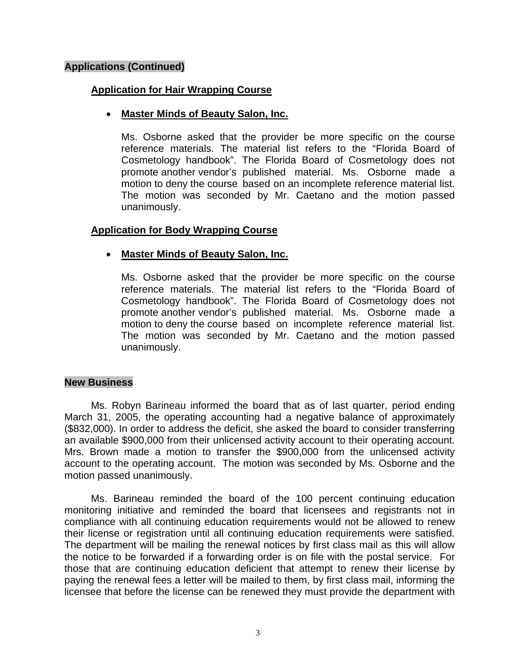# **Applications (Continued)**

# **Application for Hair Wrapping Course**

# • **Master Minds of Beauty Salon, Inc.**

Ms. Osborne asked that the provider be more specific on the course reference materials. The material list refers to the "Florida Board of Cosmetology handbook". The Florida Board of Cosmetology does not promote another vendor's published material. Ms. Osborne made a motion to deny the course based on an incomplete reference material list. The motion was seconded by Mr. Caetano and the motion passed unanimously.

# **Application for Body Wrapping Course**

# • **Master Minds of Beauty Salon, Inc.**

Ms. Osborne asked that the provider be more specific on the course reference materials. The material list refers to the "Florida Board of Cosmetology handbook". The Florida Board of Cosmetology does not promote another vendor's published material. Ms. Osborne made a motion to deny the course based on incomplete reference material list. The motion was seconded by Mr. Caetano and the motion passed unanimously.

#### **New Business**

Ms. Robyn Barineau informed the board that as of last quarter, period ending March 31, 2005, the operating accounting had a negative balance of approximately (\$832,000). In order to address the deficit, she asked the board to consider transferring an available \$900,000 from their unlicensed activity account to their operating account. Mrs. Brown made a motion to transfer the \$900,000 from the unlicensed activity account to the operating account. The motion was seconded by Ms. Osborne and the motion passed unanimously.

Ms. Barineau reminded the board of the 100 percent continuing education monitoring initiative and reminded the board that licensees and registrants not in compliance with all continuing education requirements would not be allowed to renew their license or registration until all continuing education requirements were satisfied. The department will be mailing the renewal notices by first class mail as this will allow the notice to be forwarded if a forwarding order is on file with the postal service. For those that are continuing education deficient that attempt to renew their license by paying the renewal fees a letter will be mailed to them, by first class mail, informing the licensee that before the license can be renewed they must provide the department with